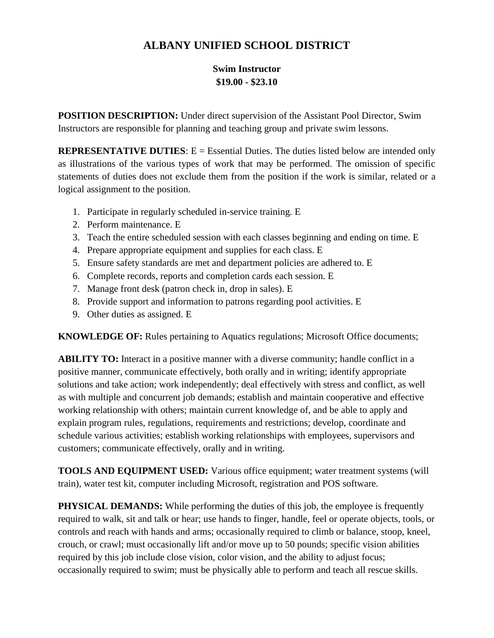## **ALBANY UNIFIED SCHOOL DISTRICT**

## **Swim Instructor \$19.00 - \$23.10**

**POSITION DESCRIPTION:** Under direct supervision of the Assistant Pool Director, Swim Instructors are responsible for planning and teaching group and private swim lessons.

**REPRESENTATIVE DUTIES:** E = Essential Duties. The duties listed below are intended only as illustrations of the various types of work that may be performed. The omission of specific statements of duties does not exclude them from the position if the work is similar, related or a logical assignment to the position.

- 1. Participate in regularly scheduled in-service training. E
- 2. Perform maintenance. E
- 3. Teach the entire scheduled session with each classes beginning and ending on time. E
- 4. Prepare appropriate equipment and supplies for each class. E
- 5. Ensure safety standards are met and department policies are adhered to. E
- 6. Complete records, reports and completion cards each session. E
- 7. Manage front desk (patron check in, drop in sales). E
- 8. Provide support and information to patrons regarding pool activities. E
- 9. Other duties as assigned. E

**KNOWLEDGE OF:** Rules pertaining to Aquatics regulations; Microsoft Office documents;

**ABILITY TO:** Interact in a positive manner with a diverse community; handle conflict in a positive manner, communicate effectively, both orally and in writing; identify appropriate solutions and take action; work independently; deal effectively with stress and conflict, as well as with multiple and concurrent job demands; establish and maintain cooperative and effective working relationship with others; maintain current knowledge of, and be able to apply and explain program rules, regulations, requirements and restrictions; develop, coordinate and schedule various activities; establish working relationships with employees, supervisors and customers; communicate effectively, orally and in writing.

**TOOLS AND EQUIPMENT USED:** Various office equipment; water treatment systems (will train), water test kit, computer including Microsoft, registration and POS software.

**PHYSICAL DEMANDS:** While performing the duties of this job, the employee is frequently required to walk, sit and talk or hear; use hands to finger, handle, feel or operate objects, tools, or controls and reach with hands and arms; occasionally required to climb or balance, stoop, kneel, crouch, or crawl; must occasionally lift and/or move up to 50 pounds; specific vision abilities required by this job include close vision, color vision, and the ability to adjust focus; occasionally required to swim; must be physically able to perform and teach all rescue skills.